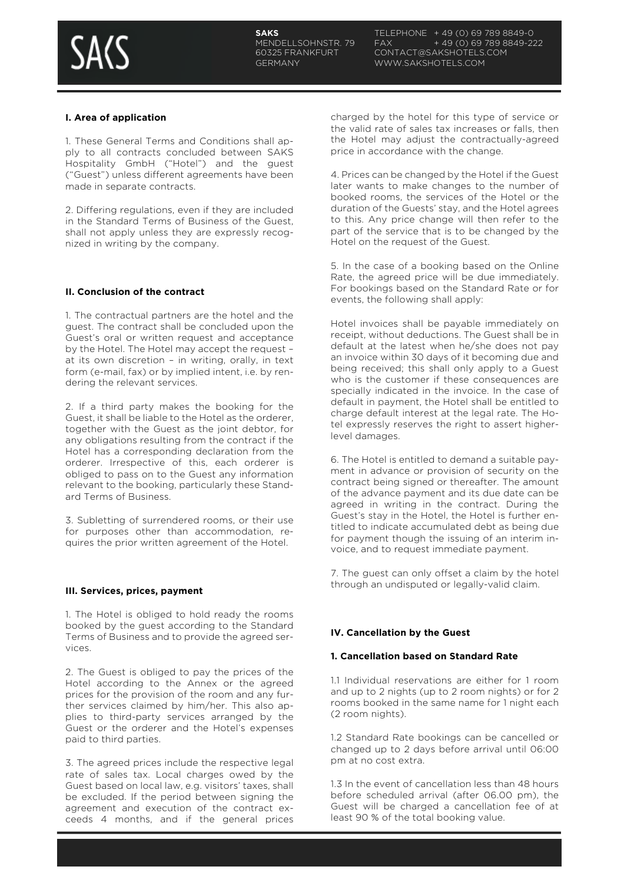

## **I. Area of application**

1. These General Terms and Conditions shall apply to all contracts concluded between SAKS Hospitality GmbH ("Hotel") and the guest ("Guest") unless different agreements have been made in separate contracts.

2. Differing regulations, even if they are included in the Standard Terms of Business of the Guest, shall not apply unless they are expressly recognized in writing by the company.

## **II. Conclusion of the contract**

1. The contractual partners are the hotel and the guest. The contract shall be concluded upon the Guest's oral or written request and acceptance by the Hotel. The Hotel may accept the request – at its own discretion – in writing, orally, in text form (e-mail, fax) or by implied intent, i.e. by rendering the relevant services.

2. If a third party makes the booking for the Guest, it shall be liable to the Hotel as the orderer, together with the Guest as the joint debtor, for any obligations resulting from the contract if the Hotel has a corresponding declaration from the orderer. Irrespective of this, each orderer is obliged to pass on to the Guest any information relevant to the booking, particularly these Standard Terms of Business.

3. Subletting of surrendered rooms, or their use for purposes other than accommodation, requires the prior written agreement of the Hotel.

#### **III. Services, prices, payment**

1. The Hotel is obliged to hold ready the rooms booked by the guest according to the Standard Terms of Business and to provide the agreed services.

2. The Guest is obliged to pay the prices of the Hotel according to the Annex or the agreed prices for the provision of the room and any further services claimed by him/her. This also applies to third-party services arranged by the Guest or the orderer and the Hotel's expenses paid to third parties.

3. The agreed prices include the respective legal rate of sales tax. Local charges owed by the Guest based on local law, e.g. visitors' taxes, shall be excluded. If the period between signing the agreement and execution of the contract exceeds 4 months, and if the general prices

charged by the hotel for this type of service or the valid rate of sales tax increases or falls, then the Hotel may adjust the contractually-agreed price in accordance with the change.

4. Prices can be changed by the Hotel if the Guest later wants to make changes to the number of booked rooms, the services of the Hotel or the duration of the Guests' stay, and the Hotel agrees to this. Any price change will then refer to the part of the service that is to be changed by the Hotel on the request of the Guest.

5. In the case of a booking based on the Online Rate, the agreed price will be due immediately. For bookings based on the Standard Rate or for events, the following shall apply:

Hotel invoices shall be payable immediately on receipt, without deductions. The Guest shall be in default at the latest when he/she does not pay an invoice within 30 days of it becoming due and being received; this shall only apply to a Guest who is the customer if these consequences are specially indicated in the invoice. In the case of default in payment, the Hotel shall be entitled to charge default interest at the legal rate. The Hotel expressly reserves the right to assert higherlevel damages.

6. The Hotel is entitled to demand a suitable payment in advance or provision of security on the contract being signed or thereafter. The amount of the advance payment and its due date can be agreed in writing in the contract. During the Guest's stay in the Hotel, the Hotel is further entitled to indicate accumulated debt as being due for payment though the issuing of an interim invoice, and to request immediate payment.

7. The guest can only offset a claim by the hotel through an undisputed or legally-valid claim.

## **IV. Cancellation by the Guest**

#### **1. Cancellation based on Standard Rate**

1.1 Individual reservations are either for 1 room and up to 2 nights (up to 2 room nights) or for 2 rooms booked in the same name for 1 night each (2 room nights).

1.2 Standard Rate bookings can be cancelled or changed up to 2 days before arrival until 06:00 pm at no cost extra.

1.3 In the event of cancellation less than 48 hours before scheduled arrival (after 06.00 pm), the Guest will be charged a cancellation fee of at least 90 % of the total booking value.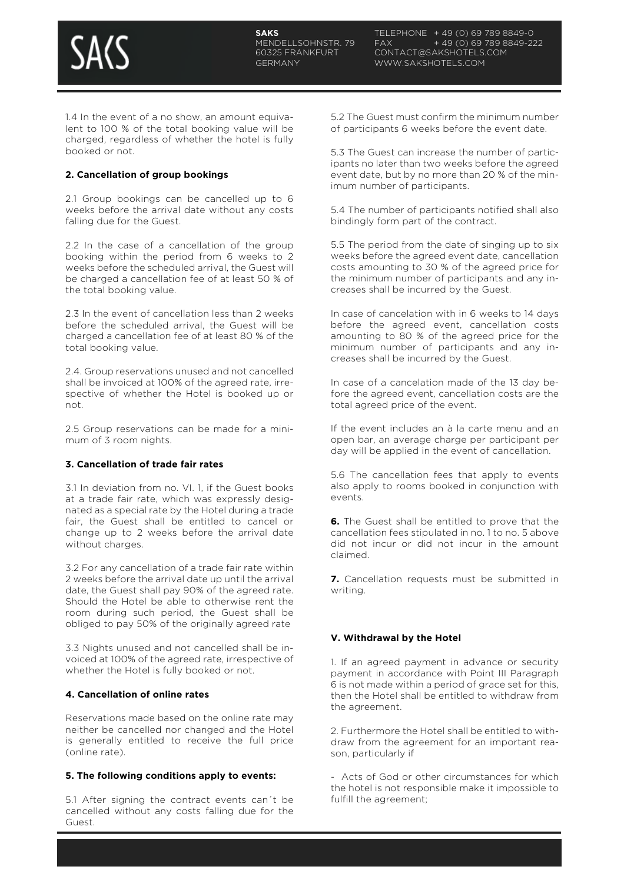

1.4 In the event of a no show, an amount equivalent to 100 % of the total booking value will be charged, regardless of whether the hotel is fully booked or not.

## **2. Cancellation of group bookings**

2.1 Group bookings can be cancelled up to 6 weeks before the arrival date without any costs falling due for the Guest.

2.2 In the case of a cancellation of the group booking within the period from 6 weeks to 2 weeks before the scheduled arrival, the Guest will be charged a cancellation fee of at least 50 % of the total booking value.

2.3 In the event of cancellation less than 2 weeks before the scheduled arrival, the Guest will be charged a cancellation fee of at least 80 % of the total booking value.

2.4. Group reservations unused and not cancelled shall be invoiced at 100% of the agreed rate, irrespective of whether the Hotel is booked up or not.

2.5 Group reservations can be made for a minimum of 3 room nights.

## **3. Cancellation of trade fair rates**

3.1 In deviation from no. VI. 1, if the Guest books at a trade fair rate, which was expressly designated as a special rate by the Hotel during a trade fair, the Guest shall be entitled to cancel or change up to 2 weeks before the arrival date without charges.

3.2 For any cancellation of a trade fair rate within 2 weeks before the arrival date up until the arrival date, the Guest shall pay 90% of the agreed rate. Should the Hotel be able to otherwise rent the room during such period, the Guest shall be obliged to pay 50% of the originally agreed rate

3.3 Nights unused and not cancelled shall be invoiced at 100% of the agreed rate, irrespective of whether the Hotel is fully booked or not.

### **4. Cancellation of online rates**

Reservations made based on the online rate may neither be cancelled nor changed and the Hotel is generally entitled to receive the full price (online rate).

### **5. The following conditions apply to events:**

5.1 After signing the contract events can´t be cancelled without any costs falling due for the Guest.

5.2 The Guest must confirm the minimum number of participants 6 weeks before the event date.

5.3 The Guest can increase the number of participants no later than two weeks before the agreed event date, but by no more than 20 % of the minimum number of participants.

5.4 The number of participants notified shall also bindingly form part of the contract.

5.5 The period from the date of singing up to six weeks before the agreed event date, cancellation costs amounting to 30 % of the agreed price for the minimum number of participants and any increases shall be incurred by the Guest.

In case of cancelation with in 6 weeks to 14 days before the agreed event, cancellation costs amounting to 80 % of the agreed price for the minimum number of participants and any increases shall be incurred by the Guest.

In case of a cancelation made of the 13 day before the agreed event, cancellation costs are the total agreed price of the event.

If the event includes an à la carte menu and an open bar, an average charge per participant per day will be applied in the event of cancellation.

5.6 The cancellation fees that apply to events also apply to rooms booked in conjunction with events.

**6.** The Guest shall be entitled to prove that the cancellation fees stipulated in no. 1 to no. 5 above did not incur or did not incur in the amount claimed.

**7.** Cancellation requests must be submitted in writing.

# **V. Withdrawal by the Hotel**

1. If an agreed payment in advance or security payment in accordance with Point III Paragraph 6 is not made within a period of grace set for this, then the Hotel shall be entitled to withdraw from the agreement.

2. Furthermore the Hotel shall be entitled to withdraw from the agreement for an important reason, particularly if

Acts of God or other circumstances for which the hotel is not responsible make it impossible to fulfill the agreement;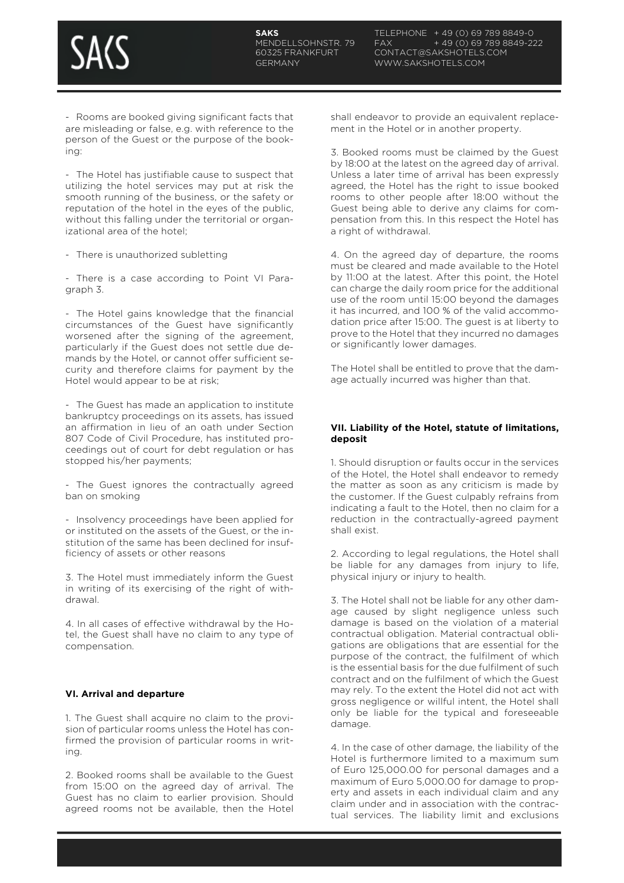- Rooms are booked giving significant facts that are misleading or false, e.g. with reference to the person of the Guest or the purpose of the booking:

- The Hotel has justifiable cause to suspect that utilizing the hotel services may put at risk the smooth running of the business, or the safety or reputation of the hotel in the eyes of the public, without this falling under the territorial or organizational area of the hotel;

- There is unauthorized subletting

- There is a case according to Point VI Paragraph 3.

- The Hotel gains knowledge that the financial circumstances of the Guest have significantly worsened after the signing of the agreement, particularly if the Guest does not settle due demands by the Hotel, or cannot offer sufficient security and therefore claims for payment by the Hotel would appear to be at risk;

- The Guest has made an application to institute bankruptcy proceedings on its assets, has issued an affirmation in lieu of an oath under Section 807 Code of Civil Procedure, has instituted proceedings out of court for debt regulation or has stopped his/her payments;

- The Guest ignores the contractually agreed ban on smoking

- Insolvency proceedings have been applied for or instituted on the assets of the Guest, or the institution of the same has been declined for insufficiency of assets or other reasons

3. The Hotel must immediately inform the Guest in writing of its exercising of the right of withdrawal.

4. In all cases of effective withdrawal by the Hotel, the Guest shall have no claim to any type of compensation.

# **VI. Arrival and departure**

1. The Guest shall acquire no claim to the provision of particular rooms unless the Hotel has confirmed the provision of particular rooms in writing.

2. Booked rooms shall be available to the Guest from 15:00 on the agreed day of arrival. The Guest has no claim to earlier provision. Should agreed rooms not be available, then the Hotel shall endeavor to provide an equivalent replacement in the Hotel or in another property.

3. Booked rooms must be claimed by the Guest by 18:00 at the latest on the agreed day of arrival. Unless a later time of arrival has been expressly agreed, the Hotel has the right to issue booked rooms to other people after 18:00 without the Guest being able to derive any claims for compensation from this. In this respect the Hotel has a right of withdrawal.

4. On the agreed day of departure, the rooms must be cleared and made available to the Hotel by 11:00 at the latest. After this point, the Hotel can charge the daily room price for the additional use of the room until 15:00 beyond the damages it has incurred, and 100 % of the valid accommodation price after 15:00. The guest is at liberty to prove to the Hotel that they incurred no damages or significantly lower damages.

The Hotel shall be entitled to prove that the damage actually incurred was higher than that.

## **VII. Liability of the Hotel, statute of limitations, deposit**

1. Should disruption or faults occur in the services of the Hotel, the Hotel shall endeavor to remedy the matter as soon as any criticism is made by the customer. If the Guest culpably refrains from indicating a fault to the Hotel, then no claim for a reduction in the contractually-agreed payment shall exist.

2. According to legal regulations, the Hotel shall be liable for any damages from injury to life, physical injury or injury to health.

3. The Hotel shall not be liable for any other damage caused by slight negligence unless such damage is based on the violation of a material contractual obligation. Material contractual obligations are obligations that are essential for the purpose of the contract, the fulfilment of which is the essential basis for the due fulfilment of such contract and on the fulfilment of which the Guest may rely. To the extent the Hotel did not act with gross negligence or willful intent, the Hotel shall only be liable for the typical and foreseeable damage.

4. In the case of other damage, the liability of the Hotel is furthermore limited to a maximum sum of Euro 125,000.00 for personal damages and a maximum of Euro 5,000.00 for damage to property and assets in each individual claim and any claim under and in association with the contractual services. The liability limit and exclusions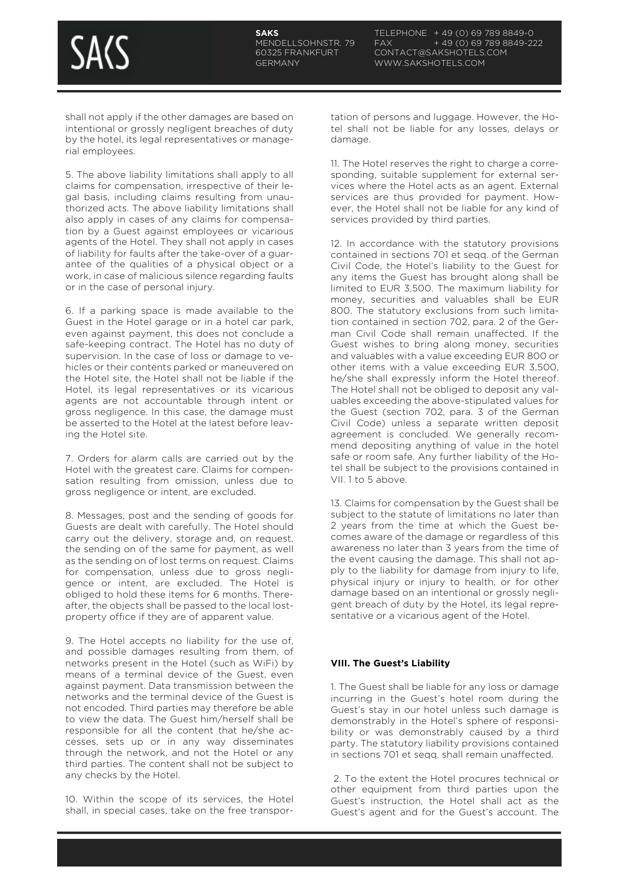shall not apply if the other damages are based on intentional or grossly negligent breaches of duty by the hotel, its legal representatives or managerial employees.

5. The above liability limitations shall apply to all claims for compensation, irrespective of their legal basis, including claims resulting from unauthorized acts. The above liability limitations shall also apply in cases of any claims for compensation by a Guest against employees or vicarious agents of the Hotel. They shall not apply in cases of liability for faults after the take-over of a guarantee of the qualities of a physical object or a work, in case of malicious silence regarding faults or in the case of personal injury.

6. If a parking space is made available to the Guest in the Hotel garage or in a hotel car park, even against payment, this does not conclude a safe-keeping contract. The Hotel has no duty of supervision. In the case of loss or damage to vehicles or their contents parked or maneuvered on the Hotel site, the Hotel shall not be liable if the Hotel, its legal representatives or its vicarious agents are not accountable through intent or gross negligence. In this case, the damage must be asserted to the Hotel at the latest before leaving the Hotel site.

7. Orders for alarm calls are carried out by the Hotel with the greatest care. Claims for compensation resulting from omission, unless due to gross negligence or intent, are excluded.

8. Messages, post and the sending of goods for Guests are dealt with carefully. The Hotel should carry out the delivery, storage and, on request, the sending on of the same for payment, as well as the sending on of lost terms on request. Claims for compensation, unless due to gross negligence or intent, are excluded. The Hotel is obliged to hold these items for 6 months. Thereafter, the objects shall be passed to the local lostproperty office if they are of apparent value.

9. The Hotel accepts no liability for the use of, and possible damages resulting from them, of networks present in the Hotel (such as WiFi) by means of a terminal device of the Guest, even against payment. Data transmission between the networks and the terminal device of the Guest is not encoded. Third parties may therefore be able to view the data. The Guest him/herself shall be responsible for all the content that he/she accesses, sets up or in any way disseminates through the network, and not the Hotel or any third parties. The content shall not be subject to any checks by the Hotel.

10. Within the scope of its services, the Hotel shall, in special cases, take on the free transportation of persons and luggage. However, the Hotel shall not be liable for any losses, delays or damage.

11. The Hotel reserves the right to charge a corresponding, suitable supplement for external services where the Hotel acts as an agent. External services are thus provided for payment. However, the Hotel shall not be liable for any kind of services provided by third parties.

12. In accordance with the statutory provisions contained in sections 701 et seqq. of the German Civil Code, the Hotel's liability to the Guest for any items the Guest has brought along shall be limited to EUR 3,500. The maximum liability for money, securities and valuables shall be EUR 800. The statutory exclusions from such limitation contained in section 702, para. 2 of the German Civil Code shall remain unaffected. If the Guest wishes to bring along money, securities and valuables with a value exceeding EUR 800 or other items with a value exceeding EUR 3,500, he/she shall expressly inform the Hotel thereof. The Hotel shall not be obliged to deposit any valuables exceeding the above-stipulated values for the Guest (section 702, para. 3 of the German Civil Code) unless a separate written deposit agreement is concluded. We generally recommend depositing anything of value in the hotel safe or room safe. Any further liability of the Hotel shall be subject to the provisions contained in VII. 1 to 5 above.

13. Claims for compensation by the Guest shall be subject to the statute of limitations no later than 2 years from the time at which the Guest becomes aware of the damage or regardless of this awareness no later than 3 years from the time of the event causing the damage. This shall not apply to the liability for damage from injury to life, physical injury or injury to health, or for other damage based on an intentional or grossly negligent breach of duty by the Hotel, its legal representative or a vicarious agent of the Hotel.

# **VIII. The Guest's Liability**

1. The Guest shall be liable for any loss or damage incurring in the Guest's hotel room during the Guest's stay in our hotel unless such damage is demonstrably in the Hotel's sphere of responsibility or was demonstrably caused by a third party. The statutory liability provisions contained in sections 701 et seqq. shall remain unaffected.

2. To the extent the Hotel procures technical or other equipment from third parties upon the Guest's instruction, the Hotel shall act as the Guest's agent and for the Guest's account. The